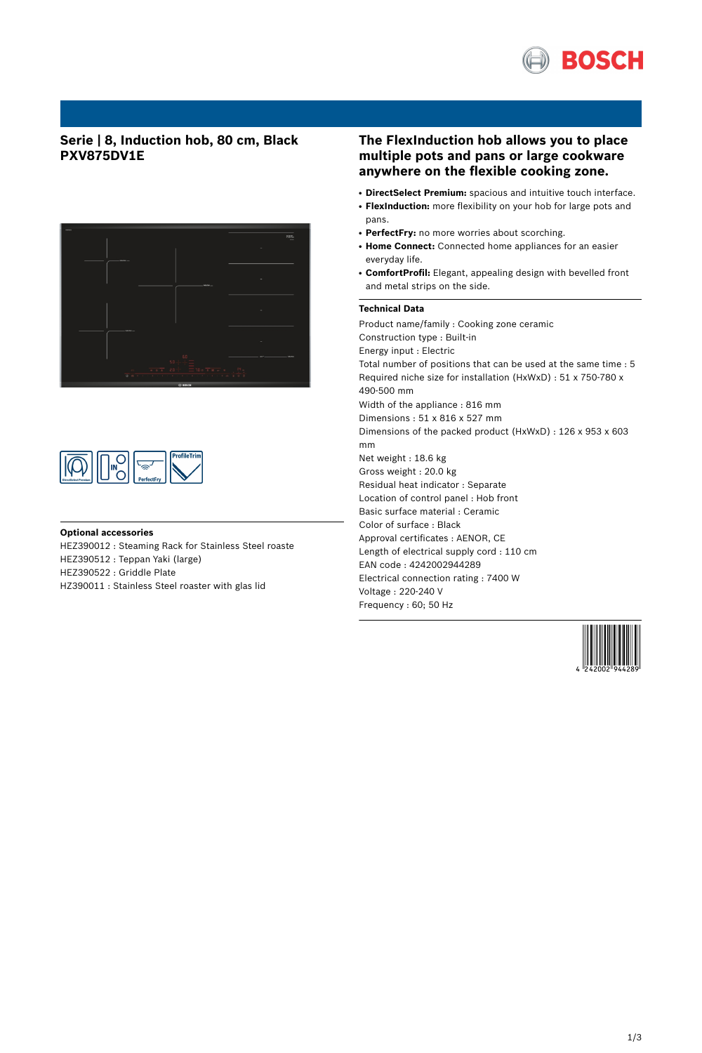

## **Serie | 8, Induction hob, 80 cm, Black PXV875DV1E**





#### **Optional accessories**

HEZ390012 : Steaming Rack for Stainless Steel roaste HEZ390512 : Teppan Yaki (large)

HEZ390522 : Griddle Plate

HZ390011 : Stainless Steel roaster with glas lid

## **The FlexInduction hob allows you to place multiple pots and pans or large cookware anywhere on the flexible cooking zone.**

- **DirectSelect Premium:** spacious and intuitive touch interface.
- FlexInduction: more flexibility on your hob for large pots and pans.
- PerfectFry: no more worries about scorching.
- **Home Connect:** Connected home appliances for an easier everyday life.
- ComfortProfil: Elegant, appealing design with bevelled front and metal strips on the side.

## **Technical Data**

Product name/family : Cooking zone ceramic Construction type : Built-in Energy input : Electric Total number of positions that can be used at the same time : 5 Required niche size for installation (HxWxD) : 51 x 750-780 x 490-500 mm Width of the appliance : 816 mm Dimensions : 51 x 816 x 527 mm Dimensions of the packed product (HxWxD) : 126 x 953 x 603 mm Net weight : 18.6 kg Gross weight : 20.0 kg Residual heat indicator : Separate Location of control panel : Hob front Basic surface material : Ceramic Color of surface : Black Approval certificates : AENOR, CE Length of electrical supply cord : 110 cm EAN code : 4242002944289 Electrical connection rating : 7400 W Voltage : 220-240 V Frequency : 60; 50 Hz

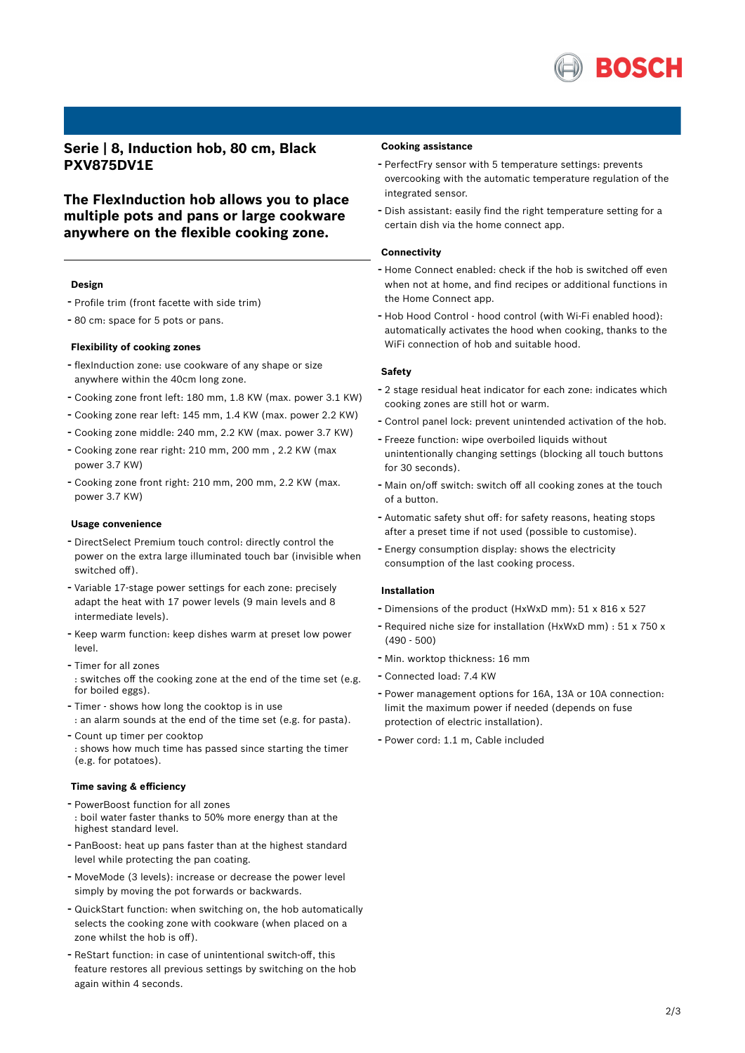

**Serie | 8, Induction hob, 80 cm, Black PXV875DV1E**

**The FlexInduction hob allows you to place multiple pots and pans or large cookware anywhere on the flexible cooking zone.**

## **Design**

- Profile trim (front facette with side trim)
- <sup>80</sup> cm: space for <sup>5</sup> pots or pans.

## **Flexibility of cooking zones**

- flexInduction zone: use cookware of any shape or size anywhere within the 40cm long zone.
- Cooking zone front left: <sup>180</sup> mm, 1.8 KW (max. power 3.1 KW)
- Cooking zone rear left: <sup>145</sup> mm, 1.4 KW (max. power 2.2 KW)
- Cooking zone middle: <sup>240</sup> mm, 2.2 KW (max. power 3.7 KW)
- Cooking zone rear right: <sup>210</sup> mm, <sup>200</sup> mm , 2.2 KW (max power 3.7 KW)
- Cooking zone front right: <sup>210</sup> mm, <sup>200</sup> mm, 2.2 KW (max. power 3.7 KW)

#### **Usage convenience**

- DirectSelect Premium touch control: directly control the power on the extra large illuminated touch bar (invisible when switched off).
- Variable 17-stage power settings for each zone: precisely adapt the heat with 17 power levels (9 main levels and 8 intermediate levels).
- Keep warm function: keep dishes warm at preset low power level.
- Timer for all zones : switches off the cooking zone at the end of the time set (e.g. for boiled eggs).
- Timer shows how long the cooktop is in use : an alarm sounds at the end of the time set (e.g. for pasta).
- Count up timer per cooktop : shows how much time has passed since starting the timer (e.g. for potatoes).

## **Time saving & efficiency**

- PowerBoost function for all zones : boil water faster thanks to 50% more energy than at the highest standard level.
- PanBoost: heat up pans faster than at the highest standard level while protecting the pan coating.
- MoveMode (3 levels): increase or decrease the power level simply by moving the pot forwards or backwards.
- QuickStart function: when switching on, the hob automatically selects the cooking zone with cookware (when placed on a zone whilst the hob is off).
- ReStart function: in case of unintentional switch-off, this feature restores all previous settings by switching on the hob again within 4 seconds.

### **Cooking assistance**

- PerfectFry sensor with <sup>5</sup> temperature settings: prevents overcooking with the automatic temperature regulation of the integrated sensor.
- Dish assistant: easily find the right temperature setting for <sup>a</sup> certain dish via the home connect app.

#### **Connectivity**

- Home Connect enabled: check if the hob is switched off even when not at home, and find recipes or additional functions in the Home Connect app.
- Hob Hood Control hood control (with Wi-Fi enabled hood): automatically activates the hood when cooking, thanks to the WiFi connection of hob and suitable hood.

#### **Safety**

- <sup>2</sup> stage residual heat indicator for each zone: indicates which cooking zones are still hot or warm.
- Control panel lock: prevent unintended activation of the hob.
- Freeze function: wipe overboiled liquids without unintentionally changing settings (blocking all touch buttons for 30 seconds).
- Main on/off switch: switch off all cooking zones at the touch of a button.
- Automatic safety shut off: for safety reasons, heating stops after a preset time if not used (possible to customise).
- Energy consumption display: shows the electricity consumption of the last cooking process.

#### **Installation**

- Dimensions of the product (HxWxD mm): <sup>51</sup> <sup>x</sup> <sup>816</sup> <sup>x</sup> <sup>527</sup>
- Required niche size for installation (HxWxD mm) : <sup>51</sup> <sup>x</sup> <sup>750</sup> <sup>x</sup> (490 - 500)
- Min. worktop thickness: <sup>16</sup> mm
- Connected load: 7.4 KW
- Power management options for 16A, 13A or 10A connection: limit the maximum power if needed (depends on fuse protection of electric installation).
- Power cord: 1.1 m, Cable included